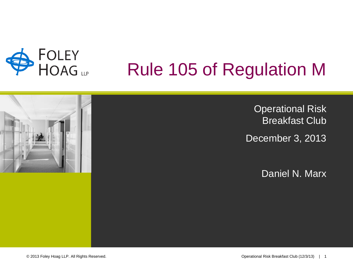

## Rule 105 of Regulation M

Operational Risk Breakfast Club December 3, 2013

Daniel N. Marx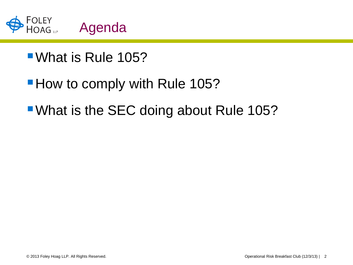

## What is Rule 105?

## **How to comply with Rule 105?**

**What is the SEC doing about Rule 105?**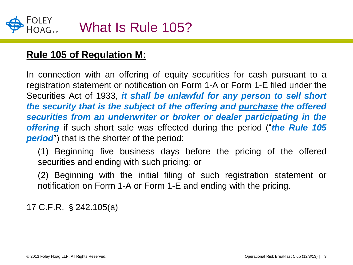

#### **Rule 105 of Regulation M:**

In connection with an offering of equity securities for cash pursuant to a registration statement or notification on Form 1-A or Form 1-E filed under the Securities Act of 1933, *it shall be unlawful for any person to sell short the security that is the subject of the offering and purchase the offered securities from an underwriter or broker or dealer participating in the offering* if such short sale was effected during the period ("*the Rule 105 period*") that is the shorter of the period:

(1) Beginning five business days before the pricing of the offered securities and ending with such pricing; or

(2) Beginning with the initial filing of such registration statement or notification on Form 1-A or Form 1-E and ending with the pricing.

17 C.F.R. §242.105(a)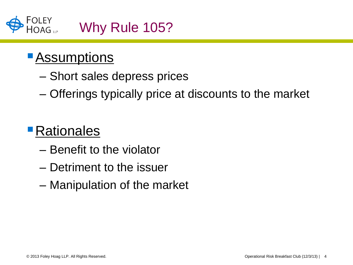

## **Assumptions**

- Short sales depress prices
- Offerings typically price at discounts to the market

## **Rationales**

- Benefit to the violator
- Detriment to the issuer
- Manipulation of the market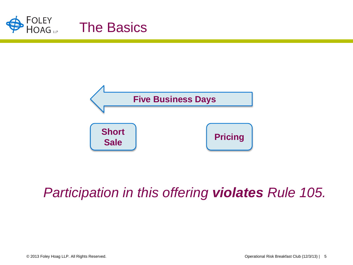



## *Participation in this offering violates Rule 105.*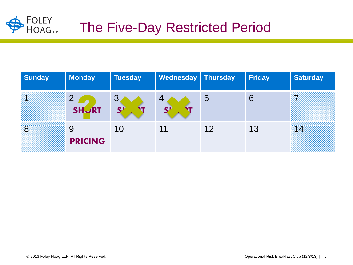

## The Five-Day Restricted Period

| <b>Sunday</b> | <b>Monday</b>       | <b>Tuesday</b> | Wednesday   Thursday |    | <b>Friday</b> | <b>Saturday</b> |
|---------------|---------------------|----------------|----------------------|----|---------------|-----------------|
|               | C<br><b>SHURT</b>   | ◡<br>S'        | 4                    | 5  | 6             |                 |
| B             | 9<br><b>PRICING</b> | 10             | 11                   | 12 | 13            | Ø               |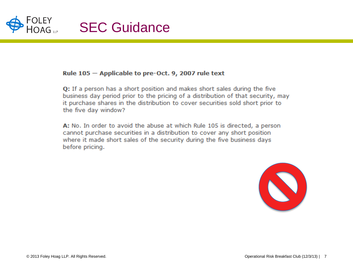

#### Rule 105 - Applicable to pre-Oct. 9, 2007 rule text

Q: If a person has a short position and makes short sales during the five business day period prior to the pricing of a distribution of that security, may it purchase shares in the distribution to cover securities sold short prior to the five day window?

A: No. In order to avoid the abuse at which Rule 105 is directed, a person cannot purchase securities in a distribution to cover any short position where it made short sales of the security during the five business days before pricing.

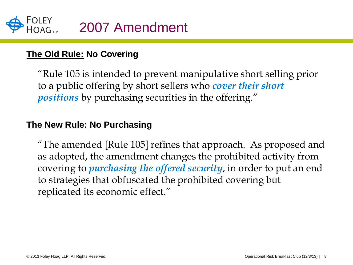

#### **The Old Rule: No Covering**

"Rule 105 is intended to prevent manipulative short selling prior to a public offering by short sellers who *cover their short positions* by purchasing securities in the offering."

#### **The New Rule: No Purchasing**

"The amended [Rule 105] refines that approach. As proposed and as adopted, the amendment changes the prohibited activity from covering to *purchasing the offered security*, in order to put an end to strategies that obfuscated the prohibited covering but replicated its economic effect."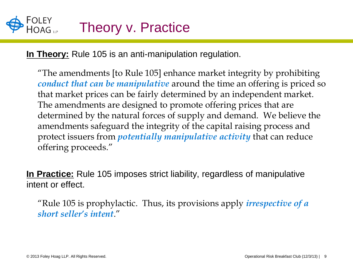**In Theory:** Rule 105 is an anti-manipulation regulation.

"The amendments [to Rule 105] enhance market integrity by prohibiting *conduct that can be manipulative* around the time an offering is priced so that market prices can be fairly determined by an independent market. The amendments are designed to promote offering prices that are determined by the natural forces of supply and demand. We believe the amendments safeguard the integrity of the capital raising process and protect issuers from *potentially manipulative activity* that can reduce offering proceeds."

**In Practice:** Rule 105 imposes strict liability, regardless of manipulative intent or effect.

"Rule 105 is prophylactic. Thus, its provisions apply *irrespective of a short seller's intent*."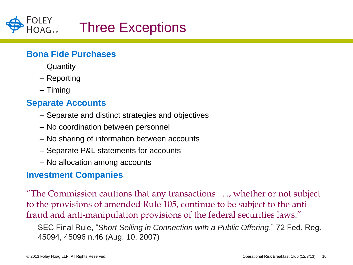

#### **Bona Fide Purchases**

- Quantity
- Reporting
- Timing

#### **Separate Accounts**

- Separate and distinct strategies and objectives
- No coordination between personnel
- No sharing of information between accounts
- Separate P&L statements for accounts
- No allocation among accounts

#### **Investment Companies**

"The Commission cautions that any transactions . . ., whether or not subject to the provisions of amended Rule 105, continue to be subject to the antifraud and anti-manipulation provisions of the federal securities laws."

SEC Final Rule, "*Short Selling in Connection with a Public Offering*," 72 Fed. Reg. 45094, 45096 n.46 (Aug. 10, 2007)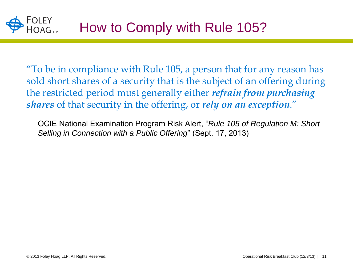"To be in compliance with Rule 105, a person that for any reason has sold short shares of a security that is the subject of an offering during the restricted period must generally either *refrain from purchasing shares* of that security in the offering, or *rely on an exception*."

OCIE National Examination Program Risk Alert, "*Rule 105 of Regulation M: Short Selling in Connection with a Public Offering*" (Sept. 17, 2013)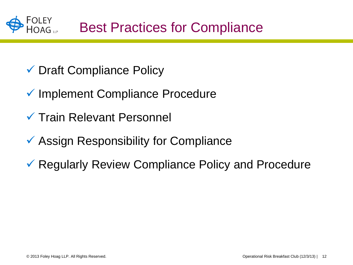

- Draft Compliance Policy
- **✓ Implement Compliance Procedure**
- $\checkmark$  Train Relevant Personnel
- **★ Assign Responsibility for Compliance**
- **★ Regularly Review Compliance Policy and Procedure**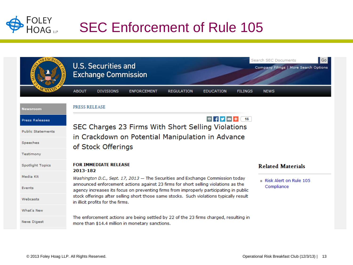

|                          | Search SEC Documents<br><b>U.S. Securities and</b><br><b>Exchange Commission</b>                                                                                                           | $ $ Go $ $<br>Company Filings   More Search Options |  |  |  |  |  |
|--------------------------|--------------------------------------------------------------------------------------------------------------------------------------------------------------------------------------------|-----------------------------------------------------|--|--|--|--|--|
|                          | <b>ABOUT</b><br><b>DIVISIONS</b><br><b>ENFORCEMENT</b><br><b>REGULATION</b><br><b>EDUCATION</b><br><b>FILINGS</b><br><b>NEWS</b>                                                           |                                                     |  |  |  |  |  |
| Newsroom                 | PRESS RELEASE                                                                                                                                                                              |                                                     |  |  |  |  |  |
| Press Releases           | SEC Charges 23 Firms With Short Selling Violations<br>in Crackdown on Potential Manipulation in Advance                                                                                    |                                                     |  |  |  |  |  |
| <b>Public Statements</b> |                                                                                                                                                                                            |                                                     |  |  |  |  |  |
| Speeches                 | of Stock Offerings                                                                                                                                                                         |                                                     |  |  |  |  |  |
| Testimony                |                                                                                                                                                                                            |                                                     |  |  |  |  |  |
| <b>Spotlight Topics</b>  | <b>FOR IMMEDIATE RELEASE</b><br><b>Related Materials</b><br>2013-182                                                                                                                       |                                                     |  |  |  |  |  |
| Media Kit                | Washington D.C., Sept. 17, 2013 - The Securities and Exchange Commission today<br>$\equiv$ Risk Alert on Rule 105                                                                          |                                                     |  |  |  |  |  |
| Events                   | announced enforcement actions against 23 firms for short selling violations as the<br>Compliance<br>agency increases its focus on preventing firms from improperly participating in public |                                                     |  |  |  |  |  |
| Webcasts                 | stock offerings after selling short those same stocks. Such violations typically result<br>in illicit profits for the firms.                                                               |                                                     |  |  |  |  |  |
| What's New               |                                                                                                                                                                                            |                                                     |  |  |  |  |  |
| <b>News Digest</b>       | The enforcement actions are being settled by 22 of the 23 firms charged, resulting in<br>more than \$14.4 million in monetary sanctions.                                                   |                                                     |  |  |  |  |  |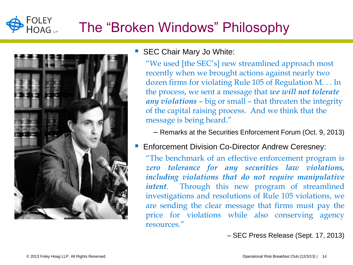#### FOLEY<br>HOAG <sub>up</sub> The "Broken Windows" Philosophy



#### ■ SEC Chair Mary Jo White:

"We used [the SEC's] new streamlined approach most recently when we brought actions against nearly two dozen firms for violating Rule 105 of Regulation M. . . In the process, we sent a message that *we will not tolerate any violations* – big or small – that threaten the integrity of the capital raising process. And we think that the message is being heard."

– Remarks at the Securities Enforcement Forum (Oct. 9, 2013)

**Enforcement Division Co-Director Andrew Ceresney:** 

"The benchmark of an effective enforcement program is *zero tolerance for any securities law violations, including violations that do not require manipulative intent*. Through this new program of streamlined investigations and resolutions of Rule 105 violations, we are sending the clear message that firms must pay the price for violations while also conserving agency resources."

– SEC Press Release (Sept. 17, 2013)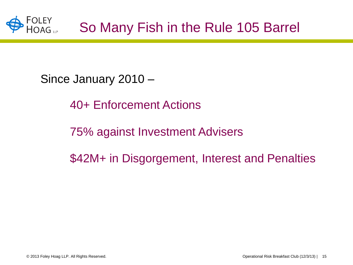

Since January 2010 –

40+ Enforcement Actions

75% against Investment Advisers

\$42M+ in Disgorgement, Interest and Penalties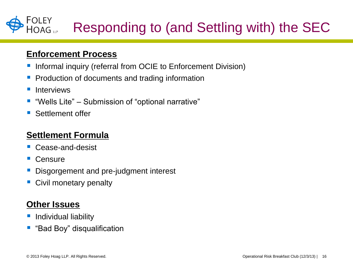#### FOLEY<br>HOAG up Responding to (and Settling with) the SEC

#### **Enforcement Process**

- **Informal inquiry (referral from OCIE to Enforcement Division)**
- Production of documents and trading information
- Interviews
- "Wells Lite" Submission of "optional narrative"
- Settlement offer

#### **Settlement Formula**

- Cease-and-desist
- Censure
- Disgorgement and pre-judgment interest
- Civil monetary penalty

#### **Other Issues**

- Individual liability
- "Bad Boy" disqualification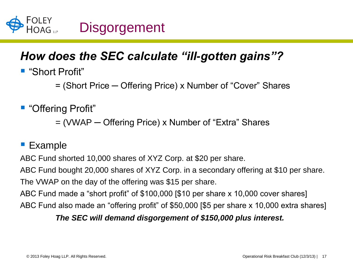

### *How does the SEC calculate "ill-gotten gains"?*

■ "Short Profit"

= (Short Price ─ Offering Price) x Number of "Cover" Shares

■ "Offering Profit"

= (VWAP ─ Offering Price) x Number of "Extra" Shares

#### **Example**

ABC Fund shorted 10,000 shares of XYZ Corp. at \$20 per share.

ABC Fund bought 20,000 shares of XYZ Corp. in a secondary offering at \$10 per share. The VWAP on the day of the offering was \$15 per share.

ABC Fund made a "short profit" of \$100,000 [\$10 per share x 10,000 cover shares] ABC Fund also made an "offering profit" of \$50,000 [\$5 per share x 10,000 extra shares]

#### *The SEC will demand disgorgement of \$150,000 plus interest.*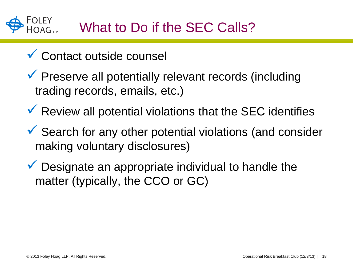## What to Do if the SEC Calls?

- **✓ Contact outside counsel**
- $\checkmark$  Preserve all potentially relevant records (including trading records, emails, etc.)
- $\checkmark$  Review all potential violations that the SEC identifies
- $\checkmark$  Search for any other potential violations (and consider making voluntary disclosures)
- $\checkmark$  Designate an appropriate individual to handle the matter (typically, the CCO or GC)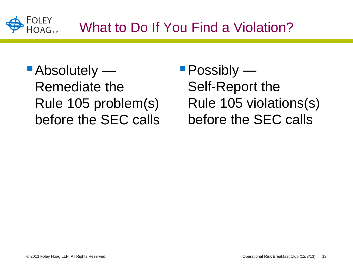

- Absolutely Remediate the Rule 105 problem(s) before the SEC calls
- Possibly Self-Report the Rule 105 violations(s) before the SEC calls